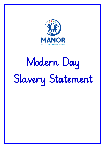

# Modern Day Slavery Statement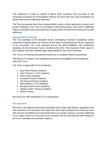This statement is made on behalf of Manor Multi Academy Trust pursuant to the provisions of Section 54 of the Modern Slavery Act 2015 (the 'Act') and constitutes our slavery and human trafficking statement.

The Trust recognises that it has a responsibility to take a robust approach to slavery and human trafficking. The Trust is committed to preventing slavery and human trafficking within its activities and to ensuring that its supply chains are free from slavery and human trafficking.

## **Organisational structure**

The Trust operates in the education sector, developing a family of academies where empowered leaders place our learners at the heart of everything and all are supported to be successful. The Trust operates across the West Midlands, with academies reporting into the Executive Team, headed by the CEO. The Executive Team report to the Trustees who bear ultimate legal responsibility for the Trust's activities.

The Trust is an exempt educational charity and a company limited by guarantee.

The Board of Trustees is the strategic board with accountability for all Academies within the Trust.

The Trust is responsible for 9 Academies:

- ➢ East Park Primary Academy
- ➢ Saint Thomas; C of E Academy
- ➢ Foley Infant Academy
- ➢ Foxyards Primary Academy
- ➢ Hill Avenue Primary Academy
- ➢ Saint Alban's C of E Academy
- ➢ Brindley Heath Junior Academy
- ➢ Hateley Heath Primary Academy
- ➢ Manor Primary

We have over 300 employees in our organisation.

### **Our approach**

We work to the highest professional standards and comply with all laws, regulations and rules relevant to our business. We expect the same high standards from those we work with and are committed to ensuring that there is no modern slavery or human trafficking in our supply chains or in any part of our business. We act ethically and with integrity in all of our charitable and business relations.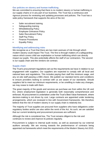# **Our policies on slavery and human trafficking**

We are committed to ensuring that there is no modern slavery or human trafficking in our supply chains or in any part of our business. The Trust has a continuous and rigorous process for reviewing and updating processes and policies. The Trust has a wide policy framework that supports the aims of the Act:

- Safer recruitment training
- Safeguarding training
- Whistleblowing Policy
- Employee Grievance Policy
- **Safer Recruitment Policy**
- Staff Pay Policy
- Finance Procedures
- Equality Policy

# **Identifying and addressing risks**

We recognise as a Trust that there are two main avenues of risk through which modern slavery could impact The Trust. The first is through matters of a safeguarding nature which covers child sex exploitation or human trafficking which can directly impact our pupils. This also potentially affects the staff of our contractors. The second is our supply chain and the vendors we contract.

# **Supply chain**

The Trust's procurement regulations set out the requirements we have in relation to our engagement with suppliers. Our suppliers are expected to comply with all local and national laws and regulations. This includes paying their staff the minimum wage, and any on-site staff passing a DBS check. We publish our standard terms and conditions to ensure providers looking to contract with us are aware of our standards. Should suppliers fail to meet our minimum requirements, or be unwilling to make any changes, we may cease to trade with them.

The great majority of the goods and services we purchase are from within the UK and EU, where employment legislation is generally both reasonably comprehensive and enforced. All procurement is undertaken under the Trust's Best Value framework, where decision-making is not driven by cost. Large contracts are appointed under tendering arrangements, which are reviewed in line with Government frameworks. We therefore believe that the risk of modern slavery in our supply chain is relatively low.

The majority of Trust supplies are procured from suppliers who have obligations under regulatory bodies and/or are also within the remit of the Act. As such, we are satisfied that our current tendering and procurement processes are sufficient.

Although the risk is considered low, The Trust remains diligent to the risk and continues to review and improve its policies regularly.

Procurement is subject to internal audit review, as well as assessed by our external auditors annually. We are moving towards the predominance of contracts being appointed via frameworks which meet the requirements of the Modern Slavery Act 2015.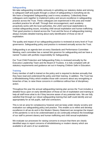### **Safeguarding**

We take safeguarding incredibly seriously in upholding our statutory duties and striving to safeguard staff and pupils through a culture of safeguarding in everything we do. We have a Designated Safeguarding Lead in every academy. Collectively these colleagues work together to implement policy and secure excellence in safeguarding practice across the Trust. These colleagues are experienced in this area and model excellent practice for all staff. Through their encouragement, each academy proactively works with the local authorities, the LADO and local stakeholders to combat safeguarding issues, including child sexual exploitation and human trafficking. Their good practice is shared across the Trust and the focus of safeguarding training always includes detailed training about early identification of those at risk of exploitation.

The quality and impact of our safeguarding practice is reviewed at every level of Trust governance. Safeguarding policy and practice is reviewed annually across the Trust.

Safeguarding is an agenda item at every Standards and Performance Committee Meeting, each committee has a named link governor for safeguarding and we have a named Trustee with portfolio responsibility for Safeguarding.

Our Trust Child Protection and Safeguarding Policy is reviewed annually by the Executive Leadership Team and the Board of Trustees. It is fully complaint with all statutory requirements and guidance set out in Keeping Children Safe in Education.

## **Training**

Every member of staff is trained on the policy and is required to declare annually that they have read and understood the policy and their training. In addition, The Trust has a Whistleblowing Policy which enables those with concerns about any wrongdoing or breaches of law, to raise these concerns in confidence without fear of disciplinary action.

Throughout the year the annual safeguarding training plan across the Trust includes a detailed focus upon on early identification of those at risk of exploitation and training to help all staff know what to do if they become aware of any potential risks. We are fully satisfied that through our robust safeguarding training that staff could identify and act appropriately for at risk pupils, staff and contractors.

This is not an area for complacency however and we keep under closely scrutiny and evaluation our safeguarding policy and practice. This enable us to refine and develop excellence in all we do and in this Modern Slavery Statement we recognise the impact of the pandemic is not to be underestimated as we continually enhance the knowledge of our staff to prevent slavery and human trafficking and child sexual exploitation.

We evaluate our processes for raising concerns to ensure that there are clearly identified ways to report concerns of whistleblowing or modern slavery which are available to all users of our academies.